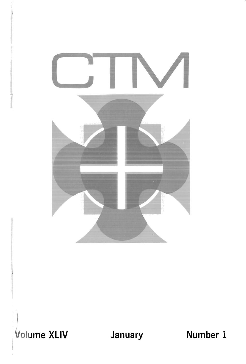

Volume XLIV January Mumber 1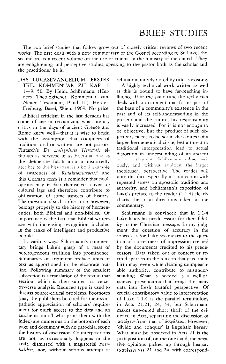## BRIEF STUDIES

The two brief studies that follow grow out of closely critical reviews of two recent works. The first deals with a new commentary of the Gospel according to St. Luke; the second treats a recent volume on the use of cinema in the ministry of the church. They are enlightening and perceptive studies, speaking to the pastor both as the scholar and the practitioner he is.

DAS LUKASEV ANGELIUM: ERSTER TElL. KOMMENTAR ZU KAP. 1,  $1-9$ , 50. By Heinz Schürmann. (Herders Theologischer Kommentar zum Neuen Testament, Band III). Herder: Freiburg, Basel, Wien, 1969. No price.

Biblical criticism in the last decades has come of age in recognizing what literary critics in the days of ancient Greece and Rome knew well- that it is wise to begin with the assumption that compilers of tradition, oral or written, are not parrots. Plutarch's *De malignitate Herodoti*, although as perverse in its Boeotian bias as the deliberate falsification it distortedly  $a$ scribes to the historian, is a bold example of awareness of "Redaktionsarbeit," and this German term is a reminder that neologisms may in fact themselves cover up cultural lags and therefore contribute to obfuscation of some aspects of history. The question of such obfuscation, however, belongs properly to the history of hermen· eutics, both Biblical and non·Biblicai. Of importance is the fact that Biblical writers are with increasing recognition included in the ranks of intelligent and productive people.

In various ways Schürmann's commentary brings Luke's grasp of a mass of heterogeneous tradition into prominence. Summaries of argument preface units of text as apportioned in the elaborate out· line. Following summary of the smallest subsection is a translation of the text in that section, which is then subject to verseby·verse analysis. Reduced type is used to discuss source·critical problems. Footnotes (may the publishers be cited for their sym· pathetic appreciation of scholars' requirement for quick access to the data and an anathema on all who print them with the index) are numerous on the bottom of each page and document with no parochial scope the history of discussion. Counterpositions are not, as occasionally happens in the craft, dismissed with a magisterial *unerhaltbar,* nor, without serious attempt at refutation, merely noted by title as existing,

A highly technical work written as well as this is bound to have far·reaching influence. If at the same time the technician deals with a document that forms part of the base of a community's existence in the past and of its self-understanding in the present and the future, his responsibility is vastly increased. For it is not enough to be objective, but the product of such objectivity needs to be set in the context of a larger hermeneutical circle, lest a threat to traditional interpretation lead to actual distortion in understanding of an ancient writer's thought Schiirmann takes seriously, and without apology, the larger theological perspective. The reader will note this fact especially in connection with repeated stress on apostolic tradition and authority, and Schürmann's exposition of Luke's preface to the reader  $(1:1-4)$  clearly charts the main directions taken in the commentary.

Schürmann is convinced that in 1:1-4 Luke lauds his predecessors for their fidelity to the Christian message, In my judg· ment the question of accuracy in the sources is for Luke secondary to the ques· tion of correctness of impression created by the documents credited to his predecessors. Data taken out of context or recited apart from the tension that gave them birth may, even while claiming unimpeach. able authority, contribute to misunderstanding, What is needed is a well-organized presentation that brings the many data into fresh truthful perspective. Of crucial contributory value to interpretation of Luke 1:1-4 is the parallel terminology in Acts 21:21, 24, 34; but Schürmann makes unwonted short shrift of the evi· dence in Acts, separating the discussion of κατέχειν from that of άσφάλεια. However, 'divide and conquer' is linguistic heresy. What must be observed in Acts 21 is the juxtaposition of, on the one hand, the nega· tive opinions picked up through hearsay ( $x\alpha\tau\epsilon\chi$ Euv vss. 21 and 24, with correspond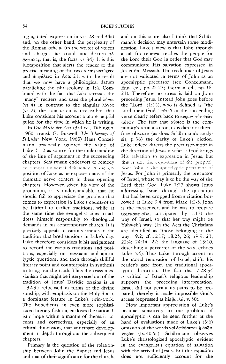ing agitated expression in vss. 28 and 34a) and, on the other hand, the perplexity of the Roman official (in the welter of voices and charges he could not discern  $\tau$ ò  $d\sigma\omega\alpha\lambda \epsilon\varsigma$ , that is, the facts, vs. 34). It is this juxtaposition that alerts the reader to the precise meaning of the two terms xatéxew and  $\dot{\alpha}$ σωάλεια in Acts 21, with the result that we now have a philological datum paralleling the phraseology in 1:4. Combined with the fact that Luke stresses the "many" reciters and uses the plural λόγοι (vs. 4) in contrast to the singular  $\lambda \dot{\sigma} \gamma \sigma \varsigma$ (vs. 2), the conclusion is irresistible, that Luke considers his account a more helpful guide for the time in which he is writing.

In *Die Mine der Zeit* (3rd ed., TUbingen, 1960; transl. G. Buswell, *The Theology 0/ St Luke;* New York, 1960) Hans Conzelmann practically ignored the value of Luke  $1 - 2$  as source for the understanding of the line of argument in the succeeding chapters. Schürmann endeavors to remedy an almost universal deficiency in the exposition of Luke as he exposes many of the thematic nerve centers in these opening chapters. However, given his view of the proemium, it is understandable that he should fail to appreciate the problem that comes to expression in Luke's endeavor ro be faithful to earlier traditions, while at the same time the evangelist aims to address himself responsibly to theological demands in his contemporary church. It is precisely appeals to various strands in the tradition that bred tensions in luke's day. Luke therefore considers it his assignment to record the various traditions and positions, especially on messianic and apocalyptic questions, and then through skillful literary point and counterpoint in synthesis to bring out the truth. Thus the crass messianism that might be interpreted out of the tradition of Jesus' Davidic origins is in 1:32-35 refocused in terms of the divine sonship, with emphasis on the Holy Spirit, a dominant feature in Luke's twin-work. The Benedictus, in even more sophisticated literary fashion, encloses the nationalistic hope within a mantle of thematic accents and correctives, especially of an ethical dimension, that anticipate development in depth throughout the subsequent chapters.

Primary is the question of the relationship between John the Baptist and Jesus and that of their significance for the church, and on this score also I think that Schürmann's decision may entertain some modification. Luke's view is that John through a call for renewal readies the people for the Lord their God in order that God may communicate His salvation expressed in Jesus the Messiah. The credentials of Jesus are not validated in terms of John as an apocalyptic precursor (see Conzelmann, Eng. ed., pp.22-27; German ed., pp. 16- 2 1). Therefore no stress is laid on John preceding Jesus. Instead John goes before the "Lord"  $(1:15)$ , who is defined as "the Lord their God."  $\alpha\dot{\nu}\tau$  in the succeeding verse clearly refers back to χύριον τον θεόν αύτων. The fact that κύριος is the community's term also for Jesus dare not therefore obscure (as does Schürmann's analysis, p. 36) the clarity of Luke's diction. Luke indeed directs the precursor-motif in the direction of Jesus insofar as God brings His salvation to expression in Jesus, but this is not the equivalent of the proposition: John is the apocalyptic precursor of Jesus. For John is primarily the precursor of Israel, whose way is to be the way of the Lord their God. Luke 7:27 shows Jesus addressing Israel through the quotation that had been dropped from a citation borrowed at Luke 3:4 from Mark 1:2-3. John is the messenger, and he was to prepare  $(x\alpha\tau\alpha\sigma x\epsilon\nu\alpha\zeta\omega,$  anticipated by 1:17) the way of Israel, so that her way might be Yahweh's way. (In the Acts the Christians are identified as "those belonging to the way," 9:2; cf. 16:17; 18:25, 26; 19:9, 23; 22:4; 24:14, 22; the language of 13:10, describing a perverter of the way, echoes Luke 3:4). Thus Luke, through accent on the moral renovation of Israel, shifts his reader's gaze from the traditional apocalyptic distortion. The fact that 7:28-34 is critical of Israel's religious leadership supports the preceding interpretation. Israel did not permit its paths to be prepared, thereby it made impossible God's access (expressed as his  $\beta$ ov $\lambda \eta$ , v. 30).

How important appreciation of Luke's peculiar sensitivity to the problem of apocalyptic is can be seen further at the hand of evaluations made of Luke's (3:6) omission of the words xal outhortal n  $\delta$  6  $\alpha$ xuplou (Is. 40:5a). Schürmann observes Luke's christologized apocalyptic, evident in the evangelist's equation of salvation with the arrival of Jesus. But this equation does not sufficiently account for the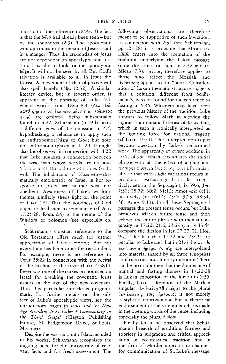omission of the reference to  $\delta \delta \xi \alpha$ . The fact is that the  $\delta\delta\xi\alpha$  had already been seen - but by the shepherds (2:9). The apocalyptic windup comes in the person of Jesus-and in a manger! Thus the credentials of Jesus are not dependent on apocalyptic speculation. It is idle to look for the apocalyptic  $\delta\acute{\sigma}\epsilon\alpha$ . It will not be seen by all. But God's salvation is available to all in Jesus the Christ. Achievement of that objective will also spell Israel's δόξα (2:32). A similar literary device, but in reverse order, is apparent in the phrasing of Luke 4:4, where words from Deut. 8:3 (άλλ' έπι παντί φήματι τω έκπορευομένω διά στόματος θεοῦ) are omitted, being substantially found in 4:22. Schürmann (p. 234) takes a different view of the omission in 4:4. hypothesizing a reluctance to apply such an anthropomorphism to God; but note the anthropomorphism in 11:20. It might also be observed in connection with 4.22 that Luke suggests a connection between the wise man whose words are gracious (cf. Sirach 21:16) and one who does God's will. The inhabitants of Nazareth-thematically emblematic of Israel in her response to Jesus-are neither wise nor obedient. Awareness of Luke's wisdomthemes similarly sheds light on the point of Luke 5:9. That the goodness of God ought to lead men to repentance (cf. Acts  $17:25-28$ ; Rom. 2:4) is the theme of the Wisdom of Solomon (see especially ch.  $12$ ).

Schürmann's constant reference to the Old Testament offers much for further appreciation of Luke's writing. But not everything has been done for the student. For example, there is no reference to Deut. 28:22 in connection with the recital of the healing of the fever (Luke  $4:38$  f.). Fever was one of the curses pronounced on Israel for breaking the covenant. Jesus ushers in the age of the new covenant. Thus this particular miracle is programmatic. For further details on the subject of Luke's apocalyptic views, see the introductory pages in Jesus and the New Age According to St. Luke: A Commentary on the Third Gospel (Clayton Publishing House, 61 Ridgemoor Drive, St. Louis, Missouri).

Despite the vast amount of data included in his works, Schürmann recognizes the ongoing need for the uncovering of relevant facts and for fresh assessment. The following observations are therefore meant to be supportive of such invitation. In connection with 2:34 (see Schürmann, pp. 127-28) it is probable that Micah 7:7 LXX enters into the formation of the tradition underlying the Lukan passage (note the stress on light in  $2:32$  and cf. Micah  $7:9$ ).  $\pi\tau\omega\sigma\upsilon\varsigma$  therefore applies to those who reject the Messiah, and άνάστασις applies to the "poor." Consideration of Lukan thematic structure suggests that a solution, different from Schürmann's, is to be found for the reference to fasting in 5:35. Whatever may have been the previous history of the tradition, Luke appears to follow Mark in viewing the logion as a dramatic forecast of Jesus' fate. which in turn is ironically interpreted as the igniting force for national tragedy (cf. Luke 23:31). This interpretation is put beyond question by Luke's redactional work. The apparently awkward addition, in 5:35, of xal, which accentuates the initial phrase with all the effect of a judgment trumpet blast, in fact completes a formulaic phrase that with slight variations recurs in prophetic eschatological oracles (negatively, see in the Septuagint, Is. 39.6, Jer. 7:32; 28:52; 30:2; 31:12; Amos 4:2; 8:11; positively, Jer. 16:14; 23:5; 37:3; 38:31, 38; Amos 9:13). In all these Septuagintal passages the present tense occurs, but Luke preserves Mark's future tense and then echoes the entire phrase with thematic intensity in 17:22; 21:6; 23:29 (on 19:43-44 compare the diction in Jer. 27:27, 31; Hos. 9:7). The fact that 17:22 and 23:29 are peculiar to Luke and that in 21:6 the words έλεύσονται ήμέραι έν αίς are interpolated into material shared by all three synoptists confirms conscious literary intention. There can be no doubt then that the dominance of nuptial and fasting themes in 17:22-28 is Lukan exposition of the logion in 5:35. Finally, Luke's alteration of the Markan singular (έν έκείνη τη ήμέρα) to the plural (έν έκείναις τάις ήμέραις) is not merely a stylistic improvement but a rhetorical endorsement of the solemn emphasis made in the opening words of the verse, including especially the plural ήμέραι.

Finally let it be observed that Schürmann's breadth of erudition, fairness and sobriety in judgment, and critical appreciation of ecclesiastical tradition find in the firm of Herder appropriate channels for communication of St. Luke's message.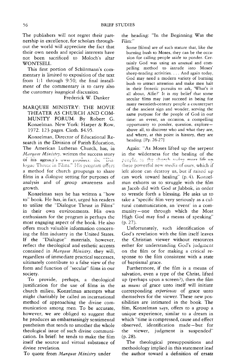The publishers will not regret their partnership in excellence, for scholars throughout the world will appreciate the fact that their own needs and special interests have not been sacrificed to Moloch's altar WONTSELL.

This first portion of Schürmann's commentary is limited to exposition of the text from  $1:1$  through  $9:50$ ; the final installment of the commentary is to carry also the customary isagogical discussion.

## Frederick W. Danker

MARQUEE MINISTRY: THE MOVIE THEATER AS CHURCH AND COM-MUNITY FORUM. By Robert G. Konzelman. New York: Harper & Row, 1972. 123 pages. Cloth. \$4.95.

Konzelman, Director of Educational Research in the Division of Parish Education. The American Lutheran Church, has, in Marquee Ministry, written the success story **of** his agency's own product: the "Dialogue Thrusc in Films." His program offers a method for church groupmgs to share films in a dialogue setting for purposes of analysis and of group awareness and growth.

Konzelman says he has written a "how to" book. He has, in fact, urged his readers to utilize the "Dialogue Thrust in Films" in their own environments. His own enthusiasm for the program is perhaps the most engaging aspect of the book. He also offers much valuable information concerning the film industry in the United States. If the "Dialogue" materials, however, reflect the theological and esthetic accents contained in *Marquee Ministry,* they will, regardless of immediate practical successes, ultimately contribute to a false view of the form and function of "secular" films in our society.

To provide, perhaps, a theological justification for the use of films in the church milieu, Konzelman attempts what might charitably be called an incarnational method of approaching the divine communication among men. To be accurate, however, we are obliged to suggest that he produces an embarrassingly sentimental pantheism that tends to smother the whole theological issue of such divine communication. In brief: he tends to make the film itself the source and virtual substance of divine revelation.

To quote from *Marquee Ministry* under

the heading: "In the Beginning Was the Film:"

Some [films] are of such stature that, like the burning bush to Moses, they can be the occasion for calling people aside to ponder. Certainly God was using an unusual and compelling method to intrude into Moses' sheep-tending activities .... And again today, God may need a modern variety of burning bush to attract attention and make men halt in their frenetic pursuits to ask, 'What's it all about, Alfie?' It is my belief that some secular films may just succeed in being for many twentieth-century people a counterpart of the ancient sign and wonder, serving the same purpose for the people of God in our time: an event, an occasion, a compelling opportunity to ponder, question, exploreabove all, to discover who and what they are, and where, at this point in history, they are heading. [Pp. 26-27]

Again: "As Moses lifted up the serpent in the wilderness for the healing of the people, so the church roday must lift un these powerful new media of ours, which if left alone can destroy us, but if raised up can work toward healing" (p. 4). Konzelman exhorts us to struggle with the film as Jacob did with God at Jabbok, in order to wrestle forth a blessing. He asks us to take a "specific film very seriously as a cultural communication, an 'event' in a community-one through which the Most High God may find a means of speaking" (p.27).

Unfortunately, such identification of God's revelation with the film itself leaves the Christian viewer without resources either for understanding God's judgment on the film or for making a critical response to the film consistent with a state of baptismal grace.

Furthermore, if the film is a means of salvation, even a type of the Christ, lifted up (perhaps upon a screen?), then the film as *means* of grace unto itself will initiate corresponding *experiences* of grace unto themselves for the viewer. These new possibilities are intimated in the book. The film, Konzelman says, offers to a group a unique experience, similar to a dream in which "time is compressed, cause and effect observed, identification made - but for the viewer, judgment is suspended" (p.28).

The theological presuppositions and methodology implied in this statement lead the author toward a definition of ersatz